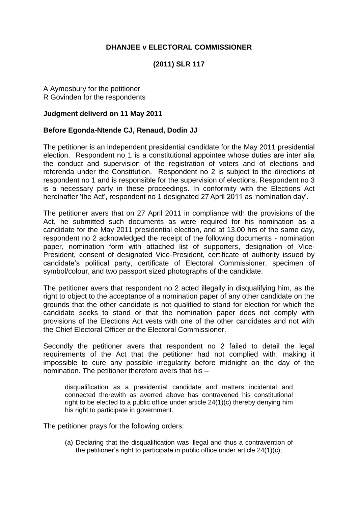## **DHANJEE v ELECTORAL COMMISSIONER**

## **(2011) SLR 117**

A Aymesbury for the petitioner R Govinden for the respondents

## **Judgment deliverd on 11 May 2011**

## **Before Egonda-Ntende CJ, Renaud, Dodin JJ**

The petitioner is an independent presidential candidate for the May 2011 presidential election. Respondent no 1 is a constitutional appointee whose duties are inter alia the conduct and supervision of the registration of voters and of elections and referenda under the Constitution. Respondent no 2 is subject to the directions of respondent no 1 and is responsible for the supervision of elections. Respondent no 3 is a necessary party in these proceedings. In conformity with the Elections Act hereinafter 'the Act', respondent no 1 designated 27 April 2011 as 'nomination day'.

The petitioner avers that on 27 April 2011 in compliance with the provisions of the Act, he submitted such documents as were required for his nomination as a candidate for the May 2011 presidential election, and at 13.00 hrs of the same day, respondent no 2 acknowledged the receipt of the following documents - nomination paper, nomination form with attached list of supporters, designation of Vice-President, consent of designated Vice-President, certificate of authority issued by candidate's political party, certificate of Electoral Commissioner, specimen of symbol/colour, and two passport sized photographs of the candidate.

The petitioner avers that respondent no 2 acted illegally in disqualifying him, as the right to object to the acceptance of a nomination paper of any other candidate on the grounds that the other candidate is not qualified to stand for election for which the candidate seeks to stand or that the nomination paper does not comply with provisions of the Elections Act vests with one of the other candidates and not with the Chief Electoral Officer or the Electoral Commissioner.

Secondly the petitioner avers that respondent no 2 failed to detail the legal requirements of the Act that the petitioner had not complied with, making it impossible to cure any possible irregularity before midnight on the day of the nomination. The petitioner therefore avers that his –

disqualification as a presidential candidate and matters incidental and connected therewith as averred above has contravened his constitutional right to be elected to a public office under article 24(1)(c) thereby denying him his right to participate in government.

The petitioner prays for the following orders:

(a) Declaring that the disqualification was illegal and thus a contravention of the petitioner's right to participate in public office under article 24(1)(c);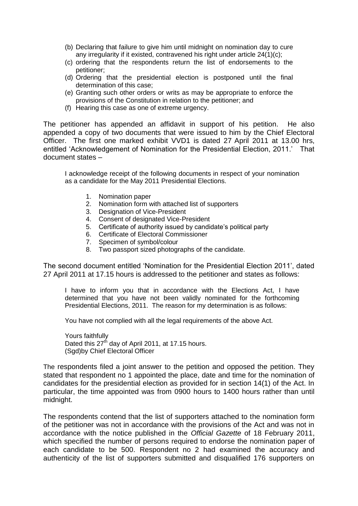- (b) Declaring that failure to give him until midnight on nomination day to cure any irregularity if it existed, contravened his right under article 24(1)(c);
- (c) ordering that the respondents return the list of endorsements to the petitioner;
- (d) Ordering that the presidential election is postponed until the final determination of this case;
- (e) Granting such other orders or writs as may be appropriate to enforce the provisions of the Constitution in relation to the petitioner; and
- (f) Hearing this case as one of extreme urgency.

The petitioner has appended an affidavit in support of his petition. He also appended a copy of two documents that were issued to him by the Chief Electoral Officer. The first one marked exhibit VVD1 is dated 27 April 2011 at 13.00 hrs, entitled 'Acknowledgement of Nomination for the Presidential Election, 2011.' That document states –

I acknowledge receipt of the following documents in respect of your nomination as a candidate for the May 2011 Presidential Elections.

- 1. Nomination paper
- 2. Nomination form with attached list of supporters
- 3. Designation of Vice-President
- 4. Consent of designated Vice-President
- 5. Certificate of authority issued by candidate's political party
- 6. Certificate of Electoral Commissioner
- 7. Specimen of symbol/colour
- 8. Two passport sized photographs of the candidate.

The second document entitled 'Nomination for the Presidential Election 2011', dated 27 April 2011 at 17.15 hours is addressed to the petitioner and states as follows:

I have to inform you that in accordance with the Elections Act, I have determined that you have not been validly nominated for the forthcoming Presidential Elections, 2011. The reason for my determination is as follows:

You have not complied with all the legal requirements of the above Act.

Yours faithfully Dated this  $27<sup>th</sup>$  day of April 2011, at 17.15 hours. (Sgd)by Chief Electoral Officer

The respondents filed a joint answer to the petition and opposed the petition. They stated that respondent no 1 appointed the place, date and time for the nomination of candidates for the presidential election as provided for in section 14(1) of the Act. In particular, the time appointed was from 0900 hours to 1400 hours rather than until midnight.

The respondents contend that the list of supporters attached to the nomination form of the petitioner was not in accordance with the provisions of the Act and was not in accordance with the notice published in the *Official Gazette* of 18 February 2011, which specified the number of persons required to endorse the nomination paper of each candidate to be 500. Respondent no 2 had examined the accuracy and authenticity of the list of supporters submitted and disqualified 176 supporters on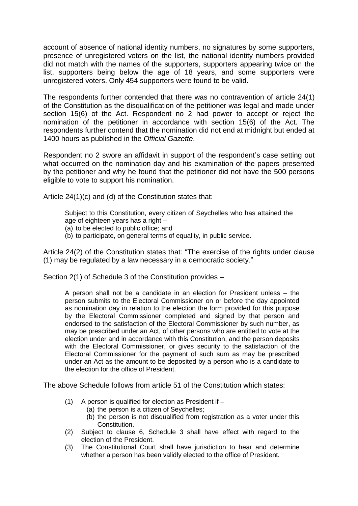account of absence of national identity numbers, no signatures by some supporters, presence of unregistered voters on the list, the national identity numbers provided did not match with the names of the supporters, supporters appearing twice on the list, supporters being below the age of 18 years, and some supporters were unregistered voters. Only 454 supporters were found to be valid.

The respondents further contended that there was no contravention of article 24(1) of the Constitution as the disqualification of the petitioner was legal and made under section 15(6) of the Act. Respondent no 2 had power to accept or reject the nomination of the petitioner in accordance with section 15(6) of the Act. The respondents further contend that the nomination did not end at midnight but ended at 1400 hours as published in the *Official Gazette*.

Respondent no 2 swore an affidavit in support of the respondent's case setting out what occurred on the nomination day and his examination of the papers presented by the petitioner and why he found that the petitioner did not have the 500 persons eligible to vote to support his nomination.

Article 24(1)(c) and (d) of the Constitution states that:

Subject to this Constitution, every citizen of Seychelles who has attained the age of eighteen years has a right –

- (a) to be elected to public office; and
- (b) to participate, on general terms of equality, in public service.

Article 24(2) of the Constitution states that: "The exercise of the rights under clause (1) may be regulated by a law necessary in a democratic society."

Section 2(1) of Schedule 3 of the Constitution provides –

A person shall not be a candidate in an election for President unless – the person submits to the Electoral Commissioner on or before the day appointed as nomination day in relation to the election the form provided for this purpose by the Electoral Commissioner completed and signed by that person and endorsed to the satisfaction of the Electoral Commissioner by such number, as may be prescribed under an Act, of other persons who are entitled to vote at the election under and in accordance with this Constitution, and the person deposits with the Electoral Commissioner, or gives security to the satisfaction of the Electoral Commissioner for the payment of such sum as may be prescribed under an Act as the amount to be deposited by a person who is a candidate to the election for the office of President.

The above Schedule follows from article 51 of the Constitution which states:

- (1) A person is qualified for election as President if
	- (a) the person is a citizen of Seychelles;
	- (b) the person is not disqualified from registration as a voter under this Constitution.
- (2) Subject to clause 6, Schedule 3 shall have effect with regard to the election of the President.
- (3) The Constitutional Court shall have jurisdiction to hear and determine whether a person has been validly elected to the office of President.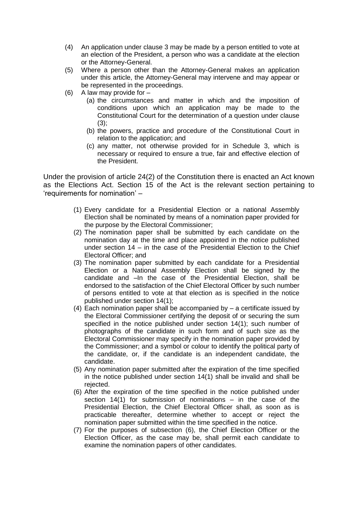- (4) An application under clause 3 may be made by a person entitled to vote at an election of the President, a person who was a candidate at the election or the Attorney-General.
- (5) Where a person other than the Attorney-General makes an application under this article, the Attorney-General may intervene and may appear or be represented in the proceedings.
- $(6)$  A law may provide for  $-$ 
	- (a) the circumstances and matter in which and the imposition of conditions upon which an application may be made to the Constitutional Court for the determination of a question under clause  $(3)$ :
	- (b) the powers, practice and procedure of the Constitutional Court in relation to the application; and
	- (c) any matter, not otherwise provided for in Schedule 3, which is necessary or required to ensure a true, fair and effective election of the President.

Under the provision of article 24(2) of the Constitution there is enacted an Act known as the Elections Act. Section 15 of the Act is the relevant section pertaining to 'requirements for nomination' –

- (1) Every candidate for a Presidential Election or a national Assembly Election shall be nominated by means of a nomination paper provided for the purpose by the Electoral Commissioner;
- (2) The nomination paper shall be submitted by each candidate on the nomination day at the time and place appointed in the notice published under section 14 – in the case of the Presidential Election to the Chief Electoral Officer; and
- (3) The nomination paper submitted by each candidate for a Presidential Election or a National Assembly Election shall be signed by the candidate and –In the case of the Presidential Election, shall be endorsed to the satisfaction of the Chief Electoral Officer by such number of persons entitled to vote at that election as is specified in the notice published under section 14(1);
- (4) Each nomination paper shall be accompanied by a certificate issued by the Electoral Commissioner certifying the deposit of or securing the sum specified in the notice published under section 14(1); such number of photographs of the candidate in such form and of such size as the Electoral Commissioner may specify in the nomination paper provided by the Commissioner; and a symbol or colour to identify the political party of the candidate, or, if the candidate is an independent candidate, the candidate.
- (5) Any nomination paper submitted after the expiration of the time specified in the notice published under section 14(1) shall be invalid and shall be rejected.
- (6) After the expiration of the time specified in the notice published under section 14(1) for submission of nominations – in the case of the Presidential Election, the Chief Electoral Officer shall, as soon as is practicable thereafter, determine whether to accept or reject the nomination paper submitted within the time specified in the notice.
- (7) For the purposes of subsection (6), the Chief Election Officer or the Election Officer, as the case may be, shall permit each candidate to examine the nomination papers of other candidates.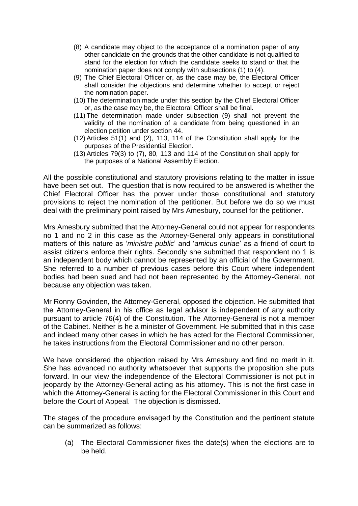- (8) A candidate may object to the acceptance of a nomination paper of any other candidate on the grounds that the other candidate is not qualified to stand for the election for which the candidate seeks to stand or that the nomination paper does not comply with subsections (1) to (4).
- (9) The Chief Electoral Officer or, as the case may be, the Electoral Officer shall consider the objections and determine whether to accept or reject the nomination paper.
- (10) The determination made under this section by the Chief Electoral Officer or, as the case may be, the Electoral Officer shall be final.
- (11) The determination made under subsection (9) shall not prevent the validity of the nomination of a candidate from being questioned in an election petition under section 44.
- (12) Articles 51(1) and (2), 113, 114 of the Constitution shall apply for the purposes of the Presidential Election.
- (13) Articles 79(3) to (7), 80, 113 and 114 of the Constitution shall apply for the purposes of a National Assembly Election.

All the possible constitutional and statutory provisions relating to the matter in issue have been set out. The question that is now required to be answered is whether the Chief Electoral Officer has the power under those constitutional and statutory provisions to reject the nomination of the petitioner. But before we do so we must deal with the preliminary point raised by Mrs Amesbury, counsel for the petitioner.

Mrs Amesbury submitted that the Attorney-General could not appear for respondents no 1 and no 2 in this case as the Attorney-General only appears in constitutional matters of this nature as '*ministre public*' and '*amicus curiae*' as a friend of court to assist citizens enforce their rights. Secondly she submitted that respondent no 1 is an independent body which cannot be represented by an official of the Government. She referred to a number of previous cases before this Court where independent bodies had been sued and had not been represented by the Attorney-General, not because any objection was taken.

Mr Ronny Govinden, the Attorney-General, opposed the objection. He submitted that the Attorney-General in his office as legal advisor is independent of any authority pursuant to article 76(4) of the Constitution. The Attorney-General is not a member of the Cabinet. Neither is he a minister of Government. He submitted that in this case and indeed many other cases in which he has acted for the Electoral Commissioner, he takes instructions from the Electoral Commissioner and no other person.

We have considered the objection raised by Mrs Amesbury and find no merit in it. She has advanced no authority whatsoever that supports the proposition she puts forward. In our view the independence of the Electoral Commissioner is not put in jeopardy by the Attorney-General acting as his attorney. This is not the first case in which the Attorney-General is acting for the Electoral Commissioner in this Court and before the Court of Appeal. The objection is dismissed.

The stages of the procedure envisaged by the Constitution and the pertinent statute can be summarized as follows:

(a) The Electoral Commissioner fixes the date(s) when the elections are to be held.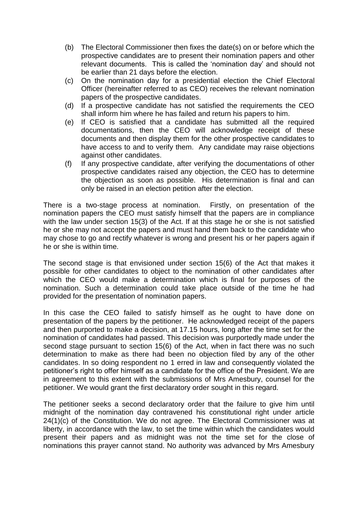- (b) The Electoral Commissioner then fixes the date(s) on or before which the prospective candidates are to present their nomination papers and other relevant documents. This is called the 'nomination day' and should not be earlier than 21 days before the election.
- (c) On the nomination day for a presidential election the Chief Electoral Officer (hereinafter referred to as CEO) receives the relevant nomination papers of the prospective candidates.
- (d) If a prospective candidate has not satisfied the requirements the CEO shall inform him where he has failed and return his papers to him.
- (e) If CEO is satisfied that a candidate has submitted all the required documentations, then the CEO will acknowledge receipt of these documents and then display them for the other prospective candidates to have access to and to verify them. Any candidate may raise objections against other candidates.
- (f) If any prospective candidate, after verifying the documentations of other prospective candidates raised any objection, the CEO has to determine the objection as soon as possible. His determination is final and can only be raised in an election petition after the election.

There is a two-stage process at nomination. Firstly, on presentation of the nomination papers the CEO must satisfy himself that the papers are in compliance with the law under section 15(3) of the Act. If at this stage he or she is not satisfied he or she may not accept the papers and must hand them back to the candidate who may chose to go and rectify whatever is wrong and present his or her papers again if he or she is within time.

The second stage is that envisioned under section 15(6) of the Act that makes it possible for other candidates to object to the nomination of other candidates after which the CEO would make a determination which is final for purposes of the nomination. Such a determination could take place outside of the time he had provided for the presentation of nomination papers.

In this case the CEO failed to satisfy himself as he ought to have done on presentation of the papers by the petitioner. He acknowledged receipt of the papers and then purported to make a decision, at 17.15 hours, long after the time set for the nomination of candidates had passed. This decision was purportedly made under the second stage pursuant to section 15(6) of the Act, when in fact there was no such determination to make as there had been no objection filed by any of the other candidates. In so doing respondent no 1 erred in law and consequently violated the petitioner's right to offer himself as a candidate for the office of the President. We are in agreement to this extent with the submissions of Mrs Amesbury, counsel for the petitioner. We would grant the first declaratory order sought in this regard.

The petitioner seeks a second declaratory order that the failure to give him until midnight of the nomination day contravened his constitutional right under article 24(1)(c) of the Constitution. We do not agree. The Electoral Commissioner was at liberty, in accordance with the law, to set the time within which the candidates would present their papers and as midnight was not the time set for the close of nominations this prayer cannot stand. No authority was advanced by Mrs Amesbury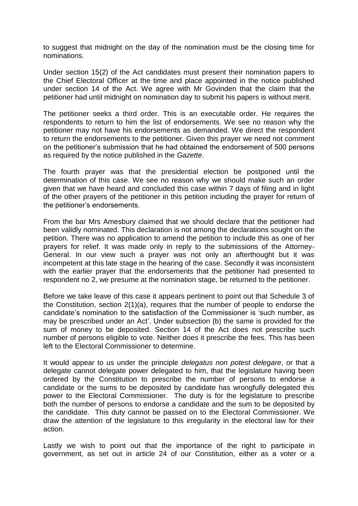to suggest that midnight on the day of the nomination must be the closing time for nominations.

Under section 15(2) of the Act candidates must present their nomination papers to the Chief Electoral Officer at the time and place appointed in the notice published under section 14 of the Act. We agree with Mr Govinden that the claim that the petitioner had until midnight on nomination day to submit his papers is without merit.

The petitioner seeks a third order. This is an executable order. He requires the respondents to return to him the list of endorsements. We see no reason why the petitioner may not have his endorsements as demanded. We direct the respondent to return the endorsements to the petitioner. Given this prayer we need not comment on the petitioner's submission that he had obtained the endorsement of 500 persons as required by the notice published in the *Gazette*.

The fourth prayer was that the presidential election be postponed until the determination of this case. We see no reason why we should make such an order given that we have heard and concluded this case within 7 days of filing and in light of the other prayers of the petitioner in this petition including the prayer for return of the petitioner's endorsements.

From the bar Mrs Amesbury claimed that we should declare that the petitioner had been validly nominated. This declaration is not among the declarations sought on the petition. There was no application to amend the petition to include this as one of her prayers for relief. It was made only in reply to the submissions of the Attorney-General. In our view such a prayer was not only an afterthought but it was incompetent at this late stage in the hearing of the case. Secondly it was inconsistent with the earlier prayer that the endorsements that the petitioner had presented to respondent no 2, we presume at the nomination stage, be returned to the petitioner.

Before we take leave of this case it appears pertinent to point out that Schedule 3 of the Constitution, section 2(1)(a), requires that the number of people to endorse the candidate's nomination to the satisfaction of the Commissioner is 'such number, as may be prescribed under an Act'. Under subsection (b) the same is provided for the sum of money to be deposited. Section 14 of the Act does not prescribe such number of persons eligible to vote. Neither does it prescribe the fees. This has been left to the Electoral Commissioner to determine.

It would appear to us under the principle *delegatus non potest delegare*, or that a delegate cannot delegate power delegated to him, that the legislature having been ordered by the Constitution to prescribe the number of persons to endorse a candidate or the sums to be deposited by candidate has wrongfully delegated this power to the Electoral Commissioner. The duty is for the legislature to prescribe both the number of persons to endorse a candidate and the sum to be deposited by the candidate. This duty cannot be passed on to the Electoral Commissioner. We draw the attention of the legislature to this irregularity in the electoral law for their action.

Lastly we wish to point out that the importance of the right to participate in government, as set out in article 24 of our Constitution, either as a voter or a